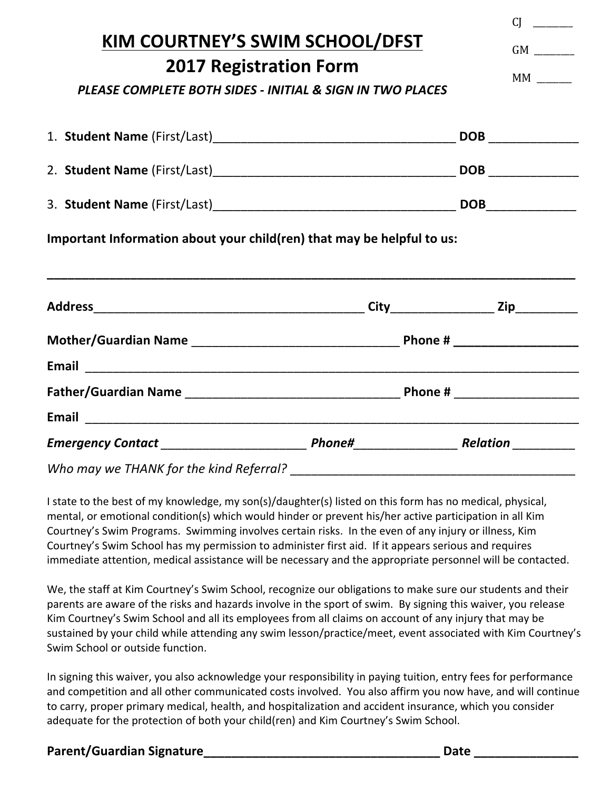|                                                                                                                                                                                                 |  | CI                |
|-------------------------------------------------------------------------------------------------------------------------------------------------------------------------------------------------|--|-------------------|
| KIM COURTNEY'S SWIM SCHOOL/DFST                                                                                                                                                                 |  | MM                |
| <b>2017 Registration Form</b><br>PLEASE COMPLETE BOTH SIDES - INITIAL & SIGN IN TWO PLACES                                                                                                      |  |                   |
|                                                                                                                                                                                                 |  | DOB _____________ |
|                                                                                                                                                                                                 |  |                   |
|                                                                                                                                                                                                 |  |                   |
| Important Information about your child(ren) that may be helpful to us:<br><u> 1989 - Johann Harry Harry Harry Harry Harry Harry Harry Harry Harry Harry Harry Harry Harry Harry Harry Harry</u> |  |                   |
|                                                                                                                                                                                                 |  |                   |
|                                                                                                                                                                                                 |  |                   |
|                                                                                                                                                                                                 |  |                   |
|                                                                                                                                                                                                 |  |                   |
|                                                                                                                                                                                                 |  |                   |
| Who may we THANK for the kind Referral?                                                                                                                                                         |  |                   |

I state to the best of my knowledge, my son(s)/daughter(s) listed on this form has no medical, physical, mental, or emotional condition(s) which would hinder or prevent his/her active participation in all Kim Courtney's Swim Programs. Swimming involves certain risks. In the even of any injury or illness, Kim Courtney's Swim School has my permission to administer first aid. If it appears serious and requires immediate attention, medical assistance will be necessary and the appropriate personnel will be contacted.

We, the staff at Kim Courtney's Swim School, recognize our obligations to make sure our students and their parents are aware of the risks and hazards involve in the sport of swim. By signing this waiver, you release Kim Courtney's Swim School and all its employees from all claims on account of any injury that may be sustained by your child while attending any swim lesson/practice/meet, event associated with Kim Courtney's Swim School or outside function.

In signing this waiver, you also acknowledge your responsibility in paying tuition, entry fees for performance and competition and all other communicated costs involved. You also affirm you now have, and will continue to carry, proper primary medical, health, and hospitalization and accident insurance, which you consider adequate for the protection of both your child(ren) and Kim Courtney's Swim School.

## **Parent/Guardian Signature\_\_\_\_\_\_\_\_\_\_\_\_\_\_\_\_\_\_\_\_\_\_\_\_\_\_\_\_\_\_\_\_\_\_ Date \_\_\_\_\_\_\_\_\_\_\_\_\_\_\_**